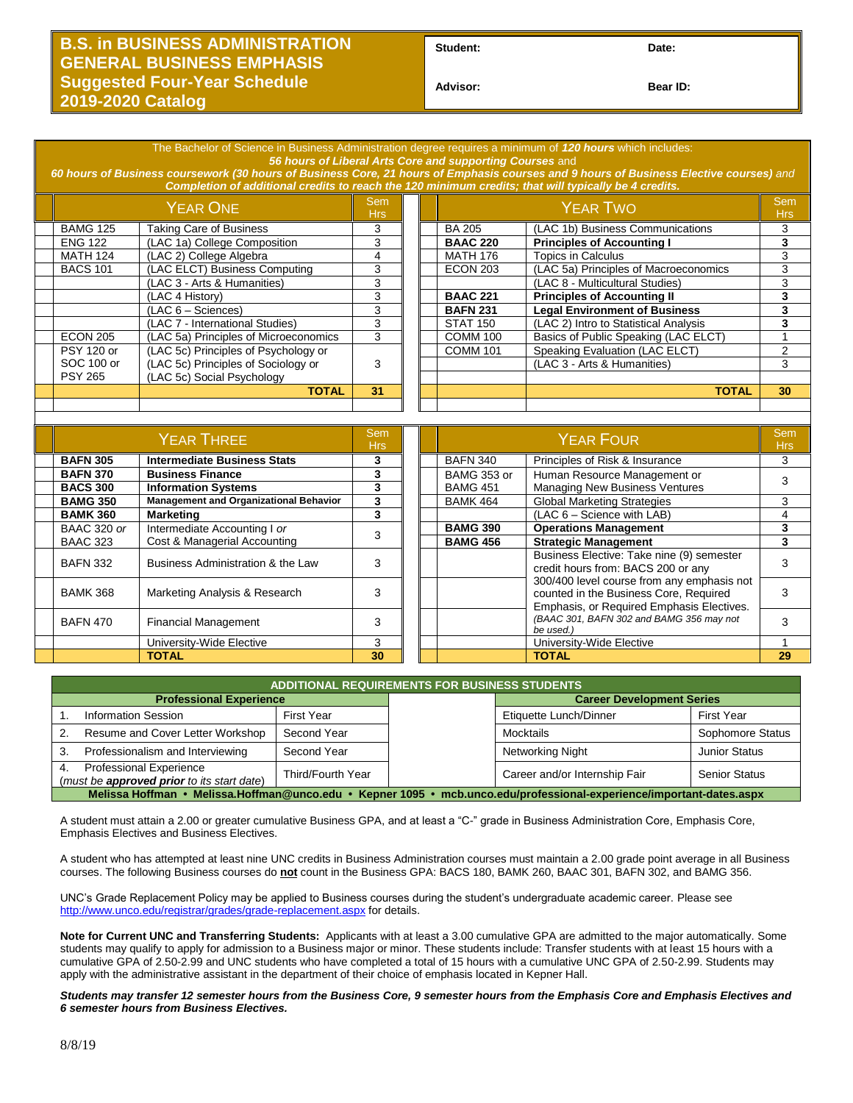## **B.S. in BUSINESS ADMINISTRATION GENERAL BUSINESS EMPHASIS Suggested Four-Year Schedule 2019-2020 Catalog**

Student: Date:

**Advisor: Bear ID:** 

|                                                                                                                                        | The Bachelor of Science in Business Administration degree requires a minimum of 120 hours which includes: |                                               |                          |  |                 |                                                                                                                                   |                          |  |  |  |
|----------------------------------------------------------------------------------------------------------------------------------------|-----------------------------------------------------------------------------------------------------------|-----------------------------------------------|--------------------------|--|-----------------|-----------------------------------------------------------------------------------------------------------------------------------|--------------------------|--|--|--|
| 56 hours of Liberal Arts Core and supporting Courses and                                                                               |                                                                                                           |                                               |                          |  |                 |                                                                                                                                   |                          |  |  |  |
| 60 hours of Business coursework (30 hours of Business Core, 21 hours of Emphasis courses and 9 hours of Business Elective courses) and |                                                                                                           |                                               |                          |  |                 |                                                                                                                                   |                          |  |  |  |
|                                                                                                                                        | Completion of additional credits to reach the 120 minimum credits; that will typically be 4 credits.      |                                               |                          |  |                 |                                                                                                                                   |                          |  |  |  |
|                                                                                                                                        | <b>YEAR ONE</b>                                                                                           |                                               | <b>Sem</b><br><b>Hrs</b> |  | <b>YEAR TWO</b> |                                                                                                                                   | <b>Sem</b><br><b>Hrs</b> |  |  |  |
|                                                                                                                                        | <b>BAMG 125</b>                                                                                           | <b>Taking Care of Business</b>                | 3                        |  | <b>BA 205</b>   | (LAC 1b) Business Communications                                                                                                  | 3                        |  |  |  |
|                                                                                                                                        | <b>ENG 122</b>                                                                                            | (LAC 1a) College Composition                  | 3                        |  | <b>BAAC 220</b> | <b>Principles of Accounting I</b>                                                                                                 | 3                        |  |  |  |
|                                                                                                                                        | <b>MATH 124</b>                                                                                           | (LAC 2) College Algebra                       | 4                        |  | <b>MATH 176</b> | <b>Topics in Calculus</b>                                                                                                         | $\overline{3}$           |  |  |  |
|                                                                                                                                        | <b>BACS 101</b>                                                                                           | (LAC ELCT) Business Computing                 | 3                        |  | <b>ECON 203</b> | (LAC 5a) Principles of Macroeconomics                                                                                             | 3                        |  |  |  |
|                                                                                                                                        |                                                                                                           | (LAC 3 - Arts & Humanities)                   | 3                        |  |                 | (LAC 8 - Multicultural Studies)                                                                                                   | 3                        |  |  |  |
|                                                                                                                                        |                                                                                                           | (LAC 4 History)                               | 3                        |  | <b>BAAC 221</b> | <b>Principles of Accounting II</b>                                                                                                | 3                        |  |  |  |
|                                                                                                                                        |                                                                                                           | $(LAC 6 - Sciences)$                          | $\overline{3}$           |  | <b>BAFN 231</b> | <b>Legal Environment of Business</b>                                                                                              | $\overline{\mathbf{3}}$  |  |  |  |
|                                                                                                                                        |                                                                                                           | (LAC 7 - International Studies)               | 3                        |  | <b>STAT 150</b> | (LAC 2) Intro to Statistical Analysis                                                                                             | 3                        |  |  |  |
|                                                                                                                                        | <b>ECON 205</b>                                                                                           | (LAC 5a) Principles of Microeconomics         | $\overline{3}$           |  | <b>COMM 100</b> | Basics of Public Speaking (LAC ELCT)                                                                                              | $\mathbf{1}$             |  |  |  |
|                                                                                                                                        | <b>PSY 120 or</b>                                                                                         | (LAC 5c) Principles of Psychology or          |                          |  | <b>COMM 101</b> | Speaking Evaluation (LAC ELCT)                                                                                                    | $\overline{2}$           |  |  |  |
|                                                                                                                                        | SOC 100 or                                                                                                | (LAC 5c) Principles of Sociology or           | 3                        |  |                 | (LAC 3 - Arts & Humanities)                                                                                                       | 3                        |  |  |  |
|                                                                                                                                        | <b>PSY 265</b>                                                                                            | (LAC 5c) Social Psychology                    |                          |  |                 |                                                                                                                                   |                          |  |  |  |
|                                                                                                                                        |                                                                                                           | <b>TOTAL</b>                                  | 31                       |  |                 | <b>TOTAL</b>                                                                                                                      | 30                       |  |  |  |
|                                                                                                                                        |                                                                                                           |                                               |                          |  |                 |                                                                                                                                   |                          |  |  |  |
|                                                                                                                                        |                                                                                                           |                                               |                          |  |                 |                                                                                                                                   |                          |  |  |  |
|                                                                                                                                        |                                                                                                           |                                               |                          |  |                 |                                                                                                                                   |                          |  |  |  |
|                                                                                                                                        |                                                                                                           |                                               | <b>Sem</b>               |  |                 |                                                                                                                                   | <b>Sem</b>               |  |  |  |
|                                                                                                                                        |                                                                                                           | <b>YEAR THREE</b>                             | <b>Hrs</b>               |  |                 | <b>YEAR FOUR</b>                                                                                                                  | <b>Hrs</b>               |  |  |  |
|                                                                                                                                        | <b>BAFN 305</b>                                                                                           | <b>Intermediate Business Stats</b>            | 3                        |  | <b>BAFN 340</b> | Principles of Risk & Insurance                                                                                                    | 3                        |  |  |  |
|                                                                                                                                        | <b>BAFN 370</b>                                                                                           | <b>Business Finance</b>                       | 3                        |  | BAMG 353 or     | Human Resource Management or                                                                                                      |                          |  |  |  |
|                                                                                                                                        | <b>BACS 300</b>                                                                                           | <b>Information Systems</b>                    | 3                        |  | <b>BAMG 451</b> | <b>Managing New Business Ventures</b>                                                                                             | 3                        |  |  |  |
|                                                                                                                                        | <b>BAMG 350</b>                                                                                           | <b>Management and Organizational Behavior</b> | 3                        |  | <b>BAMK 464</b> | <b>Global Marketing Strategies</b>                                                                                                | 3                        |  |  |  |
|                                                                                                                                        | <b>BAMK 360</b>                                                                                           | <b>Marketing</b>                              | 3                        |  |                 | (LAC 6 - Science with LAB)                                                                                                        | 4                        |  |  |  |
|                                                                                                                                        | <b>BAAC 320 or</b>                                                                                        | Intermediate Accounting I or                  | 3                        |  | <b>BAMG 390</b> | <b>Operations Management</b>                                                                                                      | 3                        |  |  |  |
|                                                                                                                                        | <b>BAAC 323</b>                                                                                           | Cost & Managerial Accounting                  |                          |  | <b>BAMG 456</b> | <b>Strategic Management</b>                                                                                                       | 3                        |  |  |  |
|                                                                                                                                        | <b>BAFN 332</b>                                                                                           | Business Administration & the Law             | 3                        |  |                 | Business Elective: Take nine (9) semester<br>credit hours from: BACS 200 or any                                                   | 3                        |  |  |  |
|                                                                                                                                        | <b>BAMK 368</b>                                                                                           | Marketing Analysis & Research                 | 3                        |  |                 | 300/400 level course from any emphasis not<br>counted in the Business Core, Required<br>Emphasis, or Required Emphasis Electives. | 3                        |  |  |  |

| <b>ADDITIONAL REQUIREMENTS FOR BUSINESS STUDENTS</b>                                                                 |                   |  |                                  |                      |  |  |  |  |  |  |
|----------------------------------------------------------------------------------------------------------------------|-------------------|--|----------------------------------|----------------------|--|--|--|--|--|--|
| <b>Professional Experience</b>                                                                                       |                   |  | <b>Career Development Series</b> |                      |  |  |  |  |  |  |
| <b>Information Session</b>                                                                                           | First Year        |  | Etiquette Lunch/Dinner           | <b>First Year</b>    |  |  |  |  |  |  |
| Resume and Cover Letter Workshop                                                                                     | Second Year       |  | Mocktails                        | Sophomore Status     |  |  |  |  |  |  |
| Professionalism and Interviewing                                                                                     | Second Year       |  | Networking Night                 | <b>Junior Status</b> |  |  |  |  |  |  |
| <b>Professional Experience</b><br>4.<br>(must be <b>approved prior</b> to its start date)                            | Third/Fourth Year |  | Career and/or Internship Fair    | <b>Senior Status</b> |  |  |  |  |  |  |
| Melissa Hoffman • Melissa.Hoffman@unco.edu • Kepner 1095 • mcb.unco.edu/professional-experience/important-dates.aspx |                   |  |                                  |                      |  |  |  |  |  |  |

University-Wide Elective | 3 || || | University-Wide Elective 1 **TOTAL 30 TOTAL 29**

A student must attain a 2.00 or greater cumulative Business GPA, and at least a "C-" grade in Business Administration Core, Emphasis Core, Emphasis Electives and Business Electives.

A student who has attempted at least nine UNC credits in Business Administration courses must maintain a 2.00 grade point average in all Business courses. The following Business courses do **not** count in the Business GPA: BACS 180, BAMK 260, BAAC 301, BAFN 302, and BAMG 356.

UNC's Grade Replacement Policy may be applied to Business courses during the student's undergraduate academic career. Please see <http://www.unco.edu/registrar/grades/grade-replacement.aspx> for details.

**Note for Current UNC and Transferring Students:** Applicants with at least a 3.00 cumulative GPA are admitted to the major automatically. Some students may qualify to apply for admission to a Business major or minor. These students include: Transfer students with at least 15 hours with a cumulative GPA of 2.50-2.99 and UNC students who have completed a total of 15 hours with a cumulative UNC GPA of 2.50-2.99. Students may apply with the administrative assistant in the department of their choice of emphasis located in Kepner Hall.

*Students may transfer 12 semester hours from the Business Core, 9 semester hours from the Emphasis Core and Emphasis Electives and 6 semester hours from Business Electives.*